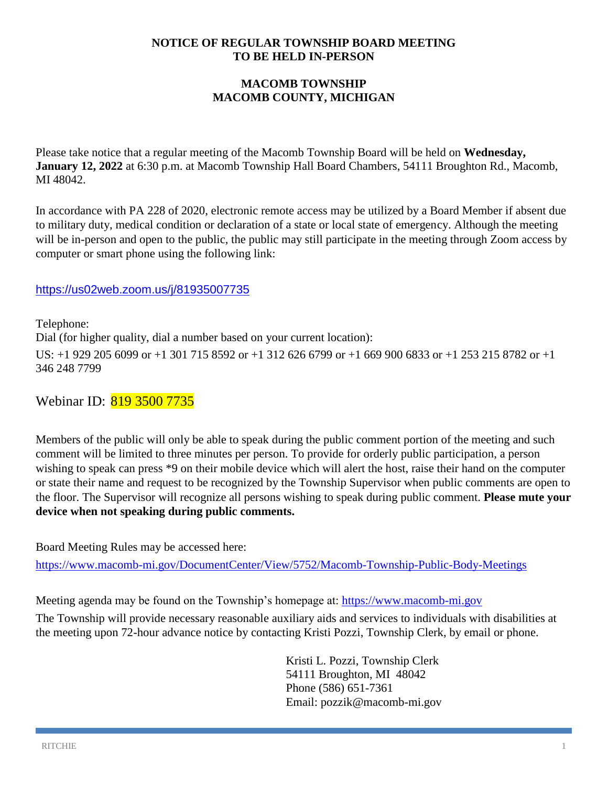#### **NOTICE OF REGULAR TOWNSHIP BOARD MEETING TO BE HELD IN-PERSON**

### **MACOMB TOWNSHIP MACOMB COUNTY, MICHIGAN**

Please take notice that a regular meeting of the Macomb Township Board will be held on **Wednesday, January 12, 2022** at 6:30 p.m. at Macomb Township Hall Board Chambers, 54111 Broughton Rd., Macomb, MI 48042.

In accordance with PA 228 of 2020, electronic remote access may be utilized by a Board Member if absent due to military duty, medical condition or declaration of a state or local state of emergency. Although the meeting will be in-person and open to the public, the public may still participate in the meeting through Zoom access by computer or smart phone using the following link:

### <https://us02web.zoom.us/j/81935007735>

Telephone: Dial (for higher quality, dial a number based on your current location): US: +1 929 205 6099 or +1 301 715 8592 or +1 312 626 6799 or +1 669 900 6833 or +1 253 215 8782 or +1 346 248 7799

# Webinar ID: 819 3500 7735

Members of the public will only be able to speak during the public comment portion of the meeting and such comment will be limited to three minutes per person. To provide for orderly public participation, a person wishing to speak can press \*9 on their mobile device which will alert the host, raise their hand on the computer or state their name and request to be recognized by the Township Supervisor when public comments are open to the floor. The Supervisor will recognize all persons wishing to speak during public comment. **Please mute your device when not speaking during public comments.**

Board Meeting Rules may be accessed here:

<https://www.macomb-mi.gov/DocumentCenter/View/5752/Macomb-Township-Public-Body-Meetings>

Meeting agenda may be found on the Township's homepage at: [https://www.macomb-mi.gov](https://www.macomb-mi.gov/)

The Township will provide necessary reasonable auxiliary aids and services to individuals with disabilities at the meeting upon 72-hour advance notice by contacting Kristi Pozzi, Township Clerk, by email or phone.

> Kristi L. Pozzi, Township Clerk 54111 Broughton, MI 48042 Phone (586) 651-7361 Email: pozzik@macomb-mi.gov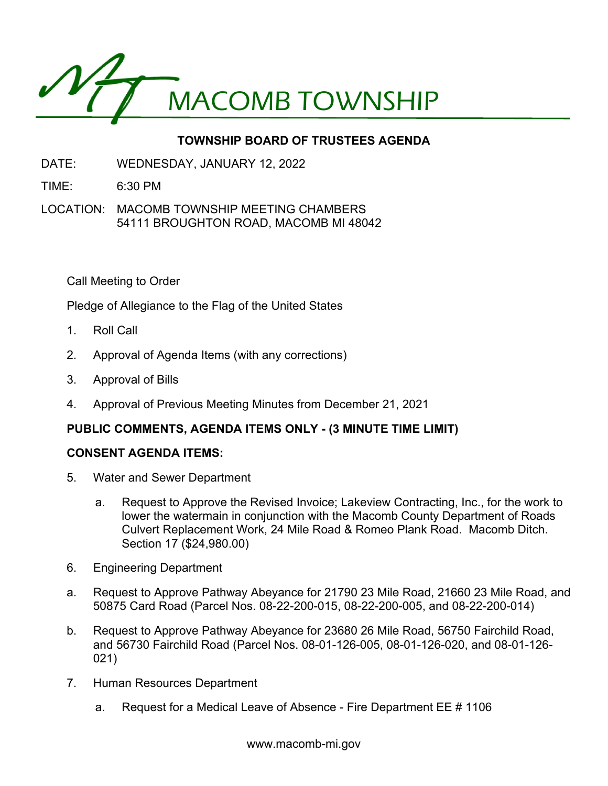

# **TOWNSHIP BOARD OF TRUSTEES AGENDA**

- DATE: WEDNESDAY, JANUARY 12, 2022
- TIME: 6:30 PM
- LOCATION: MACOMB TOWNSHIP MEETING CHAMBERS 54111 BROUGHTON ROAD, MACOMB MI 48042

Call Meeting to Order

Pledge of Allegiance to the Flag of the United States

- 1. Roll Call
- 2. Approval of Agenda Items (with any corrections)
- 3. Approval of Bills
- 4. Approval of Previous Meeting Minutes from December 21, 2021

# **PUBLIC COMMENTS, AGENDA ITEMS ONLY - (3 MINUTE TIME LIMIT)**

#### **CONSENT AGENDA ITEMS:**

- 5. Water and Sewer Department
	- a. Request to Approve the Revised Invoice; Lakeview Contracting, Inc., for the work to lower the watermain in conjunction with the Macomb County Department of Roads Culvert Replacement Work, 24 Mile Road & Romeo Plank Road. Macomb Ditch. Section 17 (\$24,980.00)
- 6. Engineering Department
- a. Request to Approve Pathway Abeyance for 21790 23 Mile Road, 21660 23 Mile Road, and 50875 Card Road (Parcel Nos. 08-22-200-015, 08-22-200-005, and 08-22-200-014)
- b. Request to Approve Pathway Abeyance for 23680 26 Mile Road, 56750 Fairchild Road, and 56730 Fairchild Road (Parcel Nos. 08-01-126-005, 08-01-126-020, and 08-01-126- 021)
- 7. Human Resources Department
	- a. Request for a Medical Leave of Absence Fire Department EE # 1106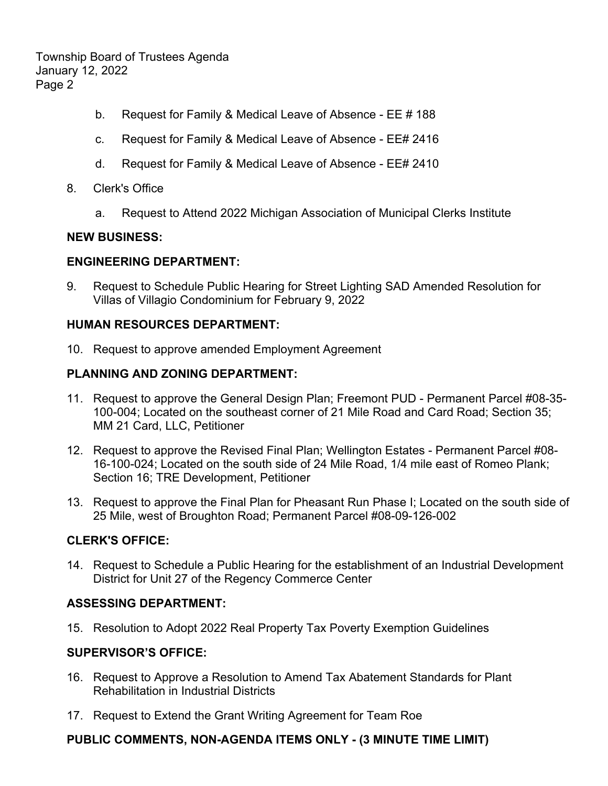Township Board of Trustees Agenda January 12, 2022 Page 2

- b. Request for Family & Medical Leave of Absence EE # 188
- c. Request for Family & Medical Leave of Absence EE# 2416
- d. Request for Family & Medical Leave of Absence EE# 2410
- 8. Clerk's Office
	- a. Request to Attend 2022 Michigan Association of Municipal Clerks Institute

#### **NEW BUSINESS:**

### **ENGINEERING DEPARTMENT:**

9. Request to Schedule Public Hearing for Street Lighting SAD Amended Resolution for Villas of Villagio Condominium for February 9, 2022

#### **HUMAN RESOURCES DEPARTMENT:**

10. Request to approve amended Employment Agreement

### **PLANNING AND ZONING DEPARTMENT:**

- 11. Request to approve the General Design Plan; Freemont PUD Permanent Parcel #08-35- 100-004; Located on the southeast corner of 21 Mile Road and Card Road; Section 35; MM 21 Card, LLC, Petitioner
- 12. Request to approve the Revised Final Plan; Wellington Estates Permanent Parcel #08- 16-100-024; Located on the south side of 24 Mile Road, 1/4 mile east of Romeo Plank; Section 16; TRE Development, Petitioner
- 13. Request to approve the Final Plan for Pheasant Run Phase I; Located on the south side of 25 Mile, west of Broughton Road; Permanent Parcel #08-09-126-002

# **CLERK'S OFFICE:**

14. Request to Schedule a Public Hearing for the establishment of an Industrial Development District for Unit 27 of the Regency Commerce Center

# **ASSESSING DEPARTMENT:**

15. Resolution to Adopt 2022 Real Property Tax Poverty Exemption Guidelines

#### **SUPERVISOR'S OFFICE:**

- 16. Request to Approve a Resolution to Amend Tax Abatement Standards for Plant Rehabilitation in Industrial Districts
- 17. Request to Extend the Grant Writing Agreement for Team Roe

# **PUBLIC COMMENTS, NON-AGENDA ITEMS ONLY - (3 MINUTE TIME LIMIT)**